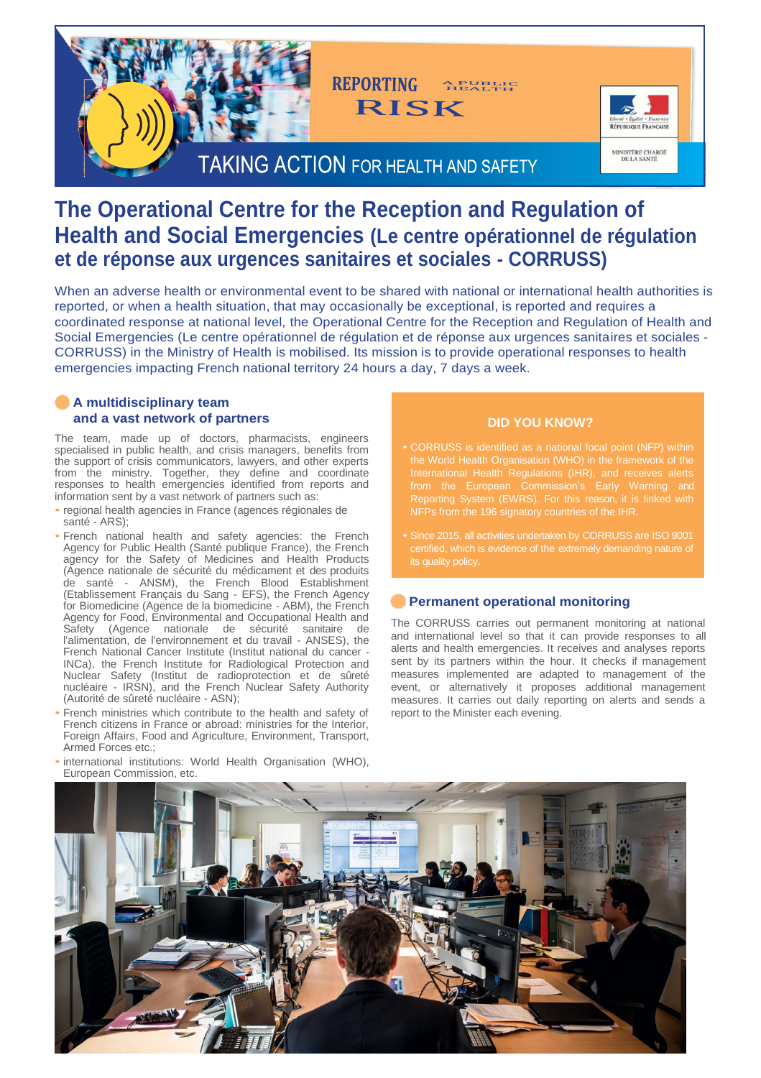

# **The Operational Centre for the Reception and Regulation of Health and Social Emergencies (Le centre opérationnel de régulation et de réponse aux urgences sanitaires et sociales** *-* **CORRUSS)**

When an adverse health or environmental event to be shared with national or international health authorities is reported, or when a health situation, that may occasionally be exceptional, is reported and requires a coordinated response at national level, the Operational Centre for the Reception and Regulation of Health and Social Emergencies (Le centre opérationnel de régulation et de réponse aux urgences sanitaires et sociales - CORRUSS) in the Ministry of Health is mobilised. Its mission is to provide operational responses to health emergencies impacting French national territory 24 hours a day, 7 days a week.

### **A multidisciplinary team and a vast network of partners**

The team, made up of doctors, pharmacists, engineers specialised in public health, and crisis managers, benefits from the support of crisis communicators, lawyers, and other experts from the ministry. Together, they define and coordinate responses to health emergencies identified from reports and information sent by a vast network of partners such as:

- regional health agencies in France (agences régionales de santé - ARS);
- French national health and safety agencies: the French Agency for Public Health (Santé publique France), the French agency for the Safety of Medicines and Health Products (Agence nationale de sécurité du médicament et des produits de santé - ANSM), the French Blood Establishment (Etablissement Français du Sang - EFS), the French Agency for Biomedicine (Agence de la biomedicine - ABM), the French Agency for Food, Environmental and Occupational Health and Safety (Agence nationale de sécurité sanitaire de l'alimentation, de l'environnement et du travail - ANSES), the French National Cancer Institute (Institut national du cancer - INCa), the French Institute for Radiological Protection and Nuclear Safety (Institut de radioprotection et de sûreté nucléaire - IRSN), and the French Nuclear Safety Authority (Autorité de sûreté nucléaire - ASN);
- French ministries which contribute to the health and safety of French citizens in France or abroad: ministries for the Interior, Foreign Affairs, Food and Agriculture, Environment, Transport, Armed Forces etc.;
- international institutions: World Health Organisation (WHO), European Commission, etc.

## **DID YOU KNOW?**

- CORRUSS is identified as a national focal point (NFP) within the World Health Organisation (WHO) in the framework of the International Health Regulations (IHR), and receives alerts from the European Commission's Early Warning and Reporting System (EWRS). For this reason, it is linked with
- Since 2015, all activities undertaken by CORRUSS are ISO 9001

#### **Permanent operational monitoring**

The CORRUSS carries out permanent monitoring at national and international level so that it can provide responses to all alerts and health emergencies. It receives and analyses reports sent by its partners within the hour. It checks if management measures implemented are adapted to management of the event, or alternatively it proposes additional management measures. It carries out daily reporting on alerts and sends a report to the Minister each evening.